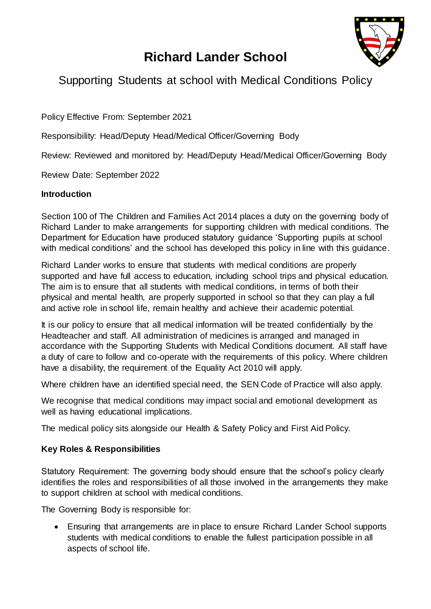

# **Richard Lander School**

# Supporting Students at school with Medical Conditions Policy

Policy Effective From: September 2021

Responsibility: Head/Deputy Head/Medical Officer/Governing Body

Review: Reviewed and monitored by: Head/Deputy Head/Medical Officer/Governing Body

Review Date: September 2022

#### **Introduction**

Section 100 of The Children and Families Act 2014 places a duty on the governing body of Richard Lander to make arrangements for supporting children with medical conditions. The Department for Education have produced statutory guidance 'Supporting pupils at school with medical conditions' and the school has developed this policy in line with this guidance.

Richard Lander works to ensure that students with medical conditions are properly supported and have full access to education, including school trips and physical education. The aim is to ensure that all students with medical conditions, in terms of both their physical and mental health, are properly supported in school so that they can play a full and active role in school life, remain healthy and achieve their academic potential.

It is our policy to ensure that all medical information will be treated confidentially by the Headteacher and staff. All administration of medicines is arranged and managed in accordance with the Supporting Students with Medical Conditions document. All staff have a duty of care to follow and co-operate with the requirements of this policy. Where children have a disability, the requirement of the Equality Act 2010 will apply.

Where children have an identified special need, the SEN Code of Practice will also apply.

We recognise that medical conditions may impact social and emotional development as well as having educational implications.

The medical policy sits alongside our Health & Safety Policy and First Aid Policy.

#### **Key Roles & Responsibilities**

Statutory Requirement: The governing body should ensure that the school's policy clearly identifies the roles and responsibilities of all those involved in the arrangements they make to support children at school with medical conditions.

The Governing Body is responsible for:

 Ensuring that arrangements are in place to ensure Richard Lander School supports students with medical conditions to enable the fullest participation possible in all aspects of school life.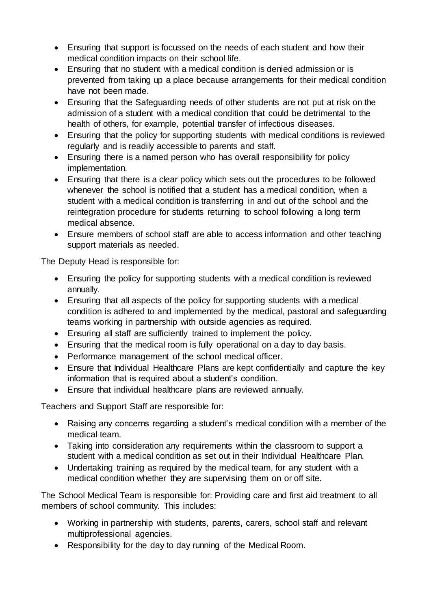- Ensuring that support is focussed on the needs of each student and how their medical condition impacts on their school life.
- Ensuring that no student with a medical condition is denied admission or is prevented from taking up a place because arrangements for their medical condition have not been made.
- Ensuring that the Safeguarding needs of other students are not put at risk on the admission of a student with a medical condition that could be detrimental to the health of others, for example, potential transfer of infectious diseases.
- Ensuring that the policy for supporting students with medical conditions is reviewed regularly and is readily accessible to parents and staff.
- Ensuring there is a named person who has overall responsibility for policy implementation.
- Ensuring that there is a clear policy which sets out the procedures to be followed whenever the school is notified that a student has a medical condition, when a student with a medical condition is transferring in and out of the school and the reintegration procedure for students returning to school following a long term medical absence.
- Ensure members of school staff are able to access information and other teaching support materials as needed.

The Deputy Head is responsible for:

- Ensuring the policy for supporting students with a medical condition is reviewed annually.
- Ensuring that all aspects of the policy for supporting students with a medical condition is adhered to and implemented by the medical, pastoral and safeguarding teams working in partnership with outside agencies as required.
- Ensuring all staff are sufficiently trained to implement the policy.
- Ensuring that the medical room is fully operational on a day to day basis.
- Performance management of the school medical officer.
- Ensure that Individual Healthcare Plans are kept confidentially and capture the key information that is required about a student's condition.
- Ensure that individual healthcare plans are reviewed annually.

Teachers and Support Staff are responsible for:

- Raising any concerns regarding a student's medical condition with a member of the medical team.
- Taking into consideration any requirements within the classroom to support a student with a medical condition as set out in their Individual Healthcare Plan.
- Undertaking training as required by the medical team, for any student with a medical condition whether they are supervising them on or off site.

The School Medical Team is responsible for: Providing care and first aid treatment to all members of school community. This includes:

- Working in partnership with students, parents, carers, school staff and relevant multiprofessional agencies.
- Responsibility for the day to day running of the Medical Room.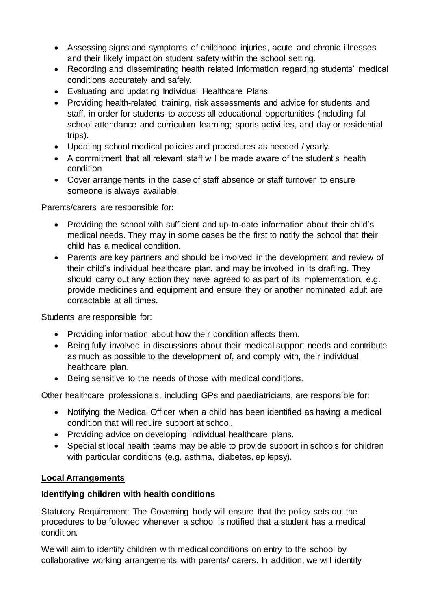- Assessing signs and symptoms of childhood injuries, acute and chronic illnesses and their likely impact on student safety within the school setting.
- Recording and disseminating health related information regarding students' medical conditions accurately and safely.
- Evaluating and updating Individual Healthcare Plans.
- Providing health-related training, risk assessments and advice for students and staff, in order for students to access all educational opportunities (including full school attendance and curriculum learning; sports activities, and day or residential trips).
- Updating school medical policies and procedures as needed / yearly.
- A commitment that all relevant staff will be made aware of the student's health condition
- Cover arrangements in the case of staff absence or staff turnover to ensure someone is always available.

Parents/carers are responsible for:

- Providing the school with sufficient and up-to-date information about their child's medical needs. They may in some cases be the first to notify the school that their child has a medical condition.
- Parents are key partners and should be involved in the development and review of their child's individual healthcare plan, and may be involved in its drafting. They should carry out any action they have agreed to as part of its implementation, e.g. provide medicines and equipment and ensure they or another nominated adult are contactable at all times.

Students are responsible for:

- Providing information about how their condition affects them.
- Being fully involved in discussions about their medical support needs and contribute as much as possible to the development of, and comply with, their individual healthcare plan.
- Being sensitive to the needs of those with medical conditions.

Other healthcare professionals, including GPs and paediatricians, are responsible for:

- Notifying the Medical Officer when a child has been identified as having a medical condition that will require support at school.
- Providing advice on developing individual healthcare plans.
- Specialist local health teams may be able to provide support in schools for children with particular conditions (e.g. asthma, diabetes, epilepsy).

#### **Local Arrangements**

#### **Identifying children with health conditions**

Statutory Requirement: The Governing body will ensure that the policy sets out the procedures to be followed whenever a school is notified that a student has a medical condition.

We will aim to identify children with medical conditions on entry to the school by collaborative working arrangements with parents/ carers. In addition, we will identify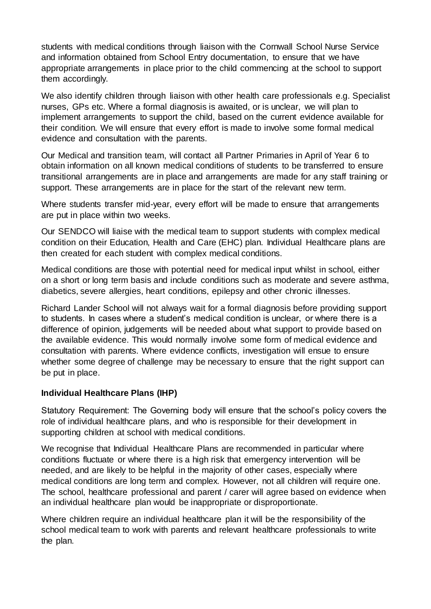students with medical conditions through liaison with the Cornwall School Nurse Service and information obtained from School Entry documentation, to ensure that we have appropriate arrangements in place prior to the child commencing at the school to support them accordingly.

We also identify children through liaison with other health care professionals e.g. Specialist nurses, GPs etc. Where a formal diagnosis is awaited, or is unclear, we will plan to implement arrangements to support the child, based on the current evidence available for their condition. We will ensure that every effort is made to involve some formal medical evidence and consultation with the parents.

Our Medical and transition team, will contact all Partner Primaries in April of Year 6 to obtain information on all known medical conditions of students to be transferred to ensure transitional arrangements are in place and arrangements are made for any staff training or support. These arrangements are in place for the start of the relevant new term.

Where students transfer mid-year, every effort will be made to ensure that arrangements are put in place within two weeks.

Our SENDCO will liaise with the medical team to support students with complex medical condition on their Education, Health and Care (EHC) plan. Individual Healthcare plans are then created for each student with complex medical conditions.

Medical conditions are those with potential need for medical input whilst in school, either on a short or long term basis and include conditions such as moderate and severe asthma, diabetics, severe allergies, heart conditions, epilepsy and other chronic illnesses.

Richard Lander School will not always wait for a formal diagnosis before providing support to students. In cases where a student's medical condition is unclear, or where there is a difference of opinion, judgements will be needed about what support to provide based on the available evidence. This would normally involve some form of medical evidence and consultation with parents. Where evidence conflicts, investigation will ensue to ensure whether some degree of challenge may be necessary to ensure that the right support can be put in place.

#### **Individual Healthcare Plans (IHP)**

Statutory Requirement: The Governing body will ensure that the school's policy covers the role of individual healthcare plans, and who is responsible for their development in supporting children at school with medical conditions.

We recognise that Individual Healthcare Plans are recommended in particular where conditions fluctuate or where there is a high risk that emergency intervention will be needed, and are likely to be helpful in the majority of other cases, especially where medical conditions are long term and complex. However, not all children will require one. The school, healthcare professional and parent / carer will agree based on evidence when an individual healthcare plan would be inappropriate or disproportionate.

Where children require an individual healthcare plan it will be the responsibility of the school medical team to work with parents and relevant healthcare professionals to write the plan.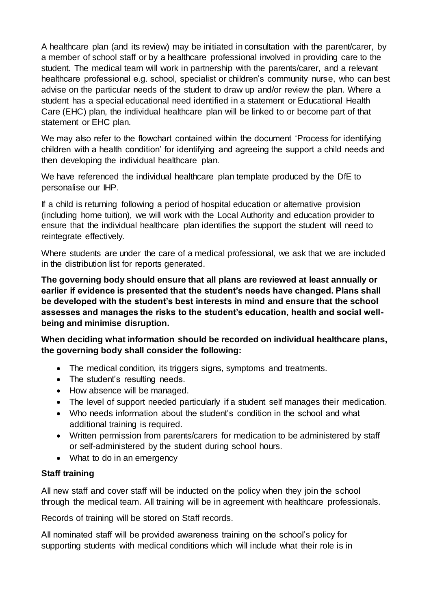A healthcare plan (and its review) may be initiated in consultation with the parent/carer, by a member of school staff or by a healthcare professional involved in providing care to the student. The medical team will work in partnership with the parents/carer, and a relevant healthcare professional e.g. school, specialist or children's community nurse, who can best advise on the particular needs of the student to draw up and/or review the plan. Where a student has a special educational need identified in a statement or Educational Health Care (EHC) plan, the individual healthcare plan will be linked to or become part of that statement or EHC plan.

We may also refer to the flowchart contained within the document 'Process for identifying children with a health condition' for identifying and agreeing the support a child needs and then developing the individual healthcare plan.

We have referenced the individual healthcare plan template produced by the DfE to personalise our IHP.

If a child is returning following a period of hospital education or alternative provision (including home tuition), we will work with the Local Authority and education provider to ensure that the individual healthcare plan identifies the support the student will need to reintegrate effectively.

Where students are under the care of a medical professional, we ask that we are included in the distribution list for reports generated.

**The governing body should ensure that all plans are reviewed at least annually or earlier if evidence is presented that the student's needs have changed. Plans shall be developed with the student's best interests in mind and ensure that the school assesses and manages the risks to the student's education, health and social wellbeing and minimise disruption.** 

**When deciding what information should be recorded on individual healthcare plans, the governing body shall consider the following:**

- The medical condition, its triggers signs, symptoms and treatments.
- The student's resulting needs.
- How absence will be managed.
- The level of support needed particularly if a student self manages their medication.
- Who needs information about the student's condition in the school and what additional training is required.
- Written permission from parents/carers for medication to be administered by staff or self-administered by the student during school hours.
- What to do in an emergency

#### **Staff training**

All new staff and cover staff will be inducted on the policy when they join the school through the medical team. All training will be in agreement with healthcare professionals.

Records of training will be stored on Staff records.

All nominated staff will be provided awareness training on the school's policy for supporting students with medical conditions which will include what their role is in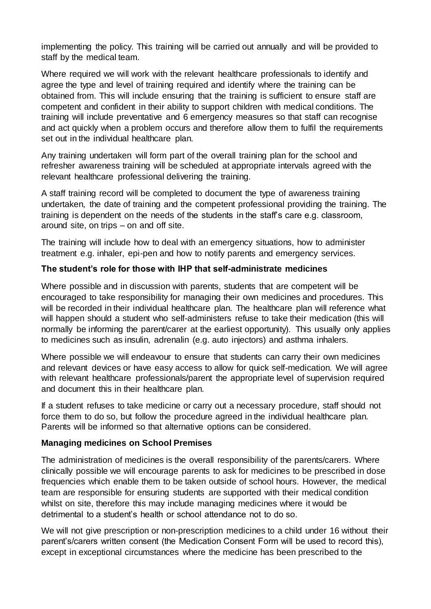implementing the policy. This training will be carried out annually and will be provided to staff by the medical team.

Where required we will work with the relevant healthcare professionals to identify and agree the type and level of training required and identify where the training can be obtained from. This will include ensuring that the training is sufficient to ensure staff are competent and confident in their ability to support children with medical conditions. The training will include preventative and 6 emergency measures so that staff can recognise and act quickly when a problem occurs and therefore allow them to fulfil the requirements set out in the individual healthcare plan.

Any training undertaken will form part of the overall training plan for the school and refresher awareness training will be scheduled at appropriate intervals agreed with the relevant healthcare professional delivering the training.

A staff training record will be completed to document the type of awareness training undertaken, the date of training and the competent professional providing the training. The training is dependent on the needs of the students in the staff's care e.g. classroom, around site, on trips – on and off site.

The training will include how to deal with an emergency situations, how to administer treatment e.g. inhaler, epi-pen and how to notify parents and emergency services.

#### **The student's role for those with IHP that self-administrate medicines**

Where possible and in discussion with parents, students that are competent will be encouraged to take responsibility for managing their own medicines and procedures. This will be recorded in their individual healthcare plan. The healthcare plan will reference what will happen should a student who self-administers refuse to take their medication (this will normally be informing the parent/carer at the earliest opportunity). This usually only applies to medicines such as insulin, adrenalin (e.g. auto injectors) and asthma inhalers.

Where possible we will endeavour to ensure that students can carry their own medicines and relevant devices or have easy access to allow for quick self-medication. We will agree with relevant healthcare professionals/parent the appropriate level of supervision required and document this in their healthcare plan.

If a student refuses to take medicine or carry out a necessary procedure, staff should not force them to do so, but follow the procedure agreed in the individual healthcare plan. Parents will be informed so that alternative options can be considered.

#### **Managing medicines on School Premises**

The administration of medicines is the overall responsibility of the parents/carers. Where clinically possible we will encourage parents to ask for medicines to be prescribed in dose frequencies which enable them to be taken outside of school hours. However, the medical team are responsible for ensuring students are supported with their medical condition whilst on site, therefore this may include managing medicines where it would be detrimental to a student's health or school attendance not to do so.

We will not give prescription or non-prescription medicines to a child under 16 without their parent's/carers written consent (the Medication Consent Form will be used to record this), except in exceptional circumstances where the medicine has been prescribed to the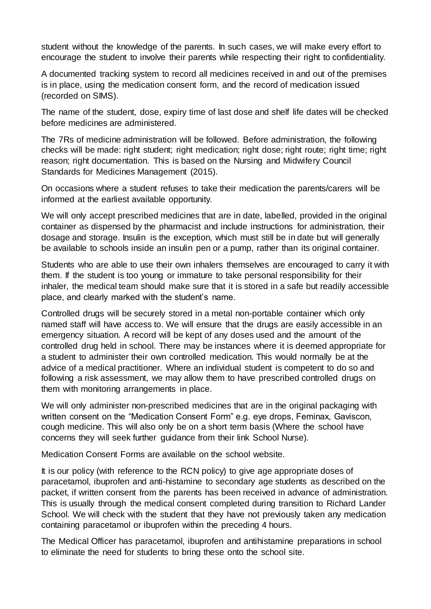student without the knowledge of the parents. In such cases, we will make every effort to encourage the student to involve their parents while respecting their right to confidentiality.

A documented tracking system to record all medicines received in and out of the premises is in place, using the medication consent form, and the record of medication issued (recorded on SIMS).

The name of the student, dose, expiry time of last dose and shelf life dates will be checked before medicines are administered.

The 7Rs of medicine administration will be followed. Before administration, the following checks will be made: right student; right medication; right dose; right route; right time; right reason; right documentation. This is based on the Nursing and Midwifery Council Standards for Medicines Management (2015).

On occasions where a student refuses to take their medication the parents/carers will be informed at the earliest available opportunity.

We will only accept prescribed medicines that are in date, labelled, provided in the original container as dispensed by the pharmacist and include instructions for administration, their dosage and storage. Insulin is the exception, which must still be in date but will generally be available to schools inside an insulin pen or a pump, rather than its original container.

Students who are able to use their own inhalers themselves are encouraged to carry it with them. If the student is too young or immature to take personal responsibility for their inhaler, the medical team should make sure that it is stored in a safe but readily accessible place, and clearly marked with the student's name.

Controlled drugs will be securely stored in a metal non-portable container which only named staff will have access to. We will ensure that the drugs are easily accessible in an emergency situation. A record will be kept of any doses used and the amount of the controlled drug held in school. There may be instances where it is deemed appropriate for a student to administer their own controlled medication. This would normally be at the advice of a medical practitioner. Where an individual student is competent to do so and following a risk assessment, we may allow them to have prescribed controlled drugs on them with monitoring arrangements in place.

We will only administer non-prescribed medicines that are in the original packaging with written consent on the "Medication Consent Form" e.g. eye drops, Feminax, Gaviscon, cough medicine. This will also only be on a short term basis (Where the school have concerns they will seek further guidance from their link School Nurse).

Medication Consent Forms are available on the school website.

It is our policy (with reference to the RCN policy) to give age appropriate doses of paracetamol, ibuprofen and anti-histamine to secondary age students as described on the packet, if written consent from the parents has been received in advance of administration. This is usually through the medical consent completed during transition to Richard Lander School. We will check with the student that they have not previously taken any medication containing paracetamol or ibuprofen within the preceding 4 hours.

The Medical Officer has paracetamol, ibuprofen and antihistamine preparations in school to eliminate the need for students to bring these onto the school site.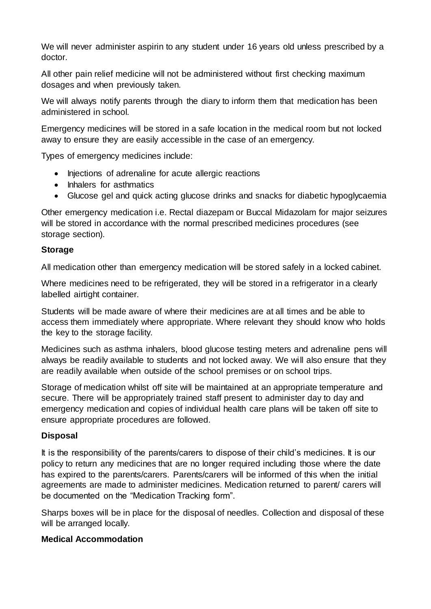We will never administer aspirin to any student under 16 years old unless prescribed by a doctor.

All other pain relief medicine will not be administered without first checking maximum dosages and when previously taken.

We will always notify parents through the diary to inform them that medication has been administered in school.

Emergency medicines will be stored in a safe location in the medical room but not locked away to ensure they are easily accessible in the case of an emergency.

Types of emergency medicines include:

- Injections of adrenaline for acute allergic reactions
- Inhalers for asthmatics
- Glucose gel and quick acting glucose drinks and snacks for diabetic hypoglycaemia

Other emergency medication i.e. Rectal diazepam or Buccal Midazolam for major seizures will be stored in accordance with the normal prescribed medicines procedures (see storage section).

#### **Storage**

All medication other than emergency medication will be stored safely in a locked cabinet.

Where medicines need to be refrigerated, they will be stored in a refrigerator in a clearly labelled airtight container.

Students will be made aware of where their medicines are at all times and be able to access them immediately where appropriate. Where relevant they should know who holds the key to the storage facility.

Medicines such as asthma inhalers, blood glucose testing meters and adrenaline pens will always be readily available to students and not locked away. We will also ensure that they are readily available when outside of the school premises or on school trips.

Storage of medication whilst off site will be maintained at an appropriate temperature and secure. There will be appropriately trained staff present to administer day to day and emergency medication and copies of individual health care plans will be taken off site to ensure appropriate procedures are followed.

#### **Disposal**

It is the responsibility of the parents/carers to dispose of their child's medicines. It is our policy to return any medicines that are no longer required including those where the date has expired to the parents/carers. Parents/carers will be informed of this when the initial agreements are made to administer medicines. Medication returned to parent/ carers will be documented on the "Medication Tracking form".

Sharps boxes will be in place for the disposal of needles. Collection and disposal of these will be arranged locally.

#### **Medical Accommodation**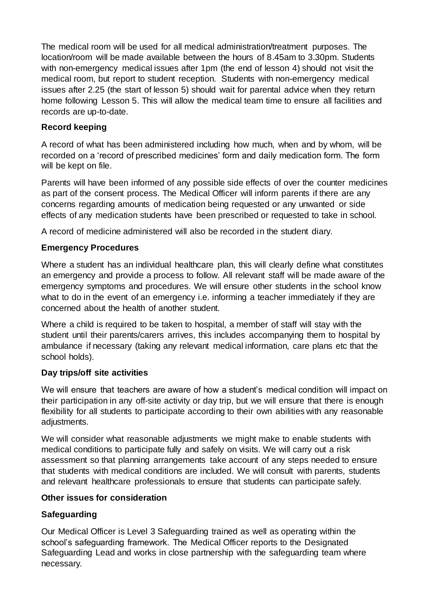The medical room will be used for all medical administration/treatment purposes. The location/room will be made available between the hours of 8.45am to 3.30pm. Students with non-emergency medical issues after 1pm (the end of lesson 4) should not visit the medical room, but report to student reception. Students with non-emergency medical issues after 2.25 (the start of lesson 5) should wait for parental advice when they return home following Lesson 5. This will allow the medical team time to ensure all facilities and records are up-to-date.

#### **Record keeping**

A record of what has been administered including how much, when and by whom, will be recorded on a 'record of prescribed medicines' form and daily medication form. The form will be kept on file.

Parents will have been informed of any possible side effects of over the counter medicines as part of the consent process. The Medical Officer will inform parents if there are any concerns regarding amounts of medication being requested or any unwanted or side effects of any medication students have been prescribed or requested to take in school.

A record of medicine administered will also be recorded in the student diary.

# **Emergency Procedures**

Where a student has an individual healthcare plan, this will clearly define what constitutes an emergency and provide a process to follow. All relevant staff will be made aware of the emergency symptoms and procedures. We will ensure other students in the school know what to do in the event of an emergency i.e. informing a teacher immediately if they are concerned about the health of another student.

Where a child is required to be taken to hospital, a member of staff will stay with the student until their parents/carers arrives, this includes accompanying them to hospital by ambulance if necessary (taking any relevant medical information, care plans etc that the school holds).

#### **Day trips/off site activities**

We will ensure that teachers are aware of how a student's medical condition will impact on their participation in any off-site activity or day trip, but we will ensure that there is enough flexibility for all students to participate according to their own abilities with any reasonable adjustments.

We will consider what reasonable adjustments we might make to enable students with medical conditions to participate fully and safely on visits. We will carry out a risk assessment so that planning arrangements take account of any steps needed to ensure that students with medical conditions are included. We will consult with parents, students and relevant healthcare professionals to ensure that students can participate safely.

#### **Other issues for consideration**

# **Safeguarding**

Our Medical Officer is Level 3 Safeguarding trained as well as operating within the school's safeguarding framework. The Medical Officer reports to the Designated Safeguarding Lead and works in close partnership with the safeguarding team where necessary.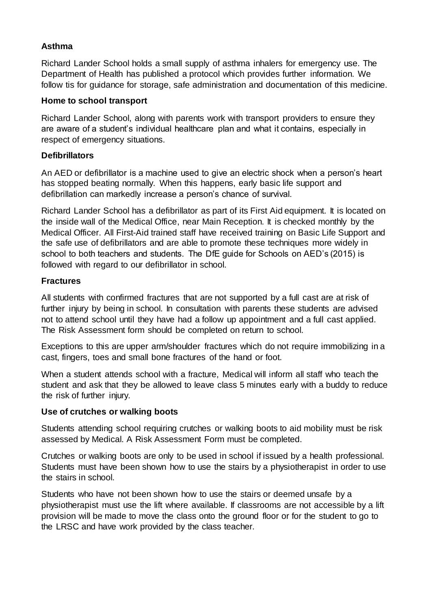#### **Asthma**

Richard Lander School holds a small supply of asthma inhalers for emergency use. The Department of Health has published a protocol which provides further information. We follow tis for guidance for storage, safe administration and documentation of this medicine.

#### **Home to school transport**

Richard Lander School, along with parents work with transport providers to ensure they are aware of a student's individual healthcare plan and what it contains, especially in respect of emergency situations.

#### **Defibrillators**

An AED or defibrillator is a machine used to give an electric shock when a person's heart has stopped beating normally. When this happens, early basic life support and defibrillation can markedly increase a person's chance of survival.

Richard Lander School has a defibrillator as part of its First Aid equipment. It is located on the inside wall of the Medical Office, near Main Reception. It is checked monthly by the Medical Officer. All First-Aid trained staff have received training on Basic Life Support and the safe use of defibrillators and are able to promote these techniques more widely in school to both teachers and students. The DfE guide for Schools on AED's (2015) is followed with regard to our defibrillator in school.

#### **Fractures**

All students with confirmed fractures that are not supported by a full cast are at risk of further injury by being in school. In consultation with parents these students are advised not to attend school until they have had a follow up appointment and a full cast applied. The Risk Assessment form should be completed on return to school.

Exceptions to this are upper arm/shoulder fractures which do not require immobilizing in a cast, fingers, toes and small bone fractures of the hand or foot.

When a student attends school with a fracture, Medical will inform all staff who teach the student and ask that they be allowed to leave class 5 minutes early with a buddy to reduce the risk of further injury.

#### **Use of crutches or walking boots**

Students attending school requiring crutches or walking boots to aid mobility must be risk assessed by Medical. A Risk Assessment Form must be completed.

Crutches or walking boots are only to be used in school if issued by a health professional. Students must have been shown how to use the stairs by a physiotherapist in order to use the stairs in school.

Students who have not been shown how to use the stairs or deemed unsafe by a physiotherapist must use the lift where available. If classrooms are not accessible by a lift provision will be made to move the class onto the ground floor or for the student to go to the LRSC and have work provided by the class teacher.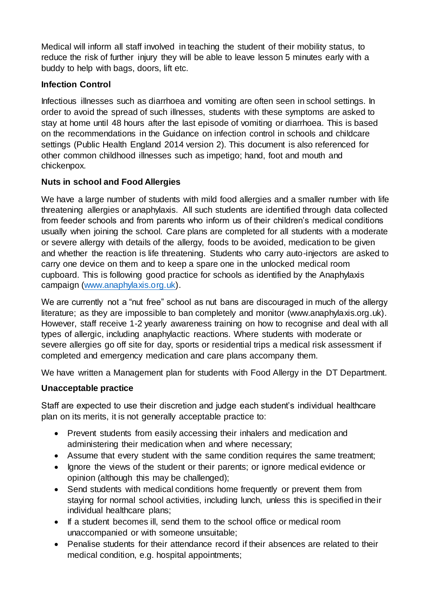Medical will inform all staff involved in teaching the student of their mobility status, to reduce the risk of further injury they will be able to leave lesson 5 minutes early with a buddy to help with bags, doors, lift etc.

#### **Infection Control**

Infectious illnesses such as diarrhoea and vomiting are often seen in school settings. In order to avoid the spread of such illnesses, students with these symptoms are asked to stay at home until 48 hours after the last episode of vomiting or diarrhoea. This is based on the recommendations in the Guidance on infection control in schools and childcare settings (Public Health England 2014 version 2). This document is also referenced for other common childhood illnesses such as impetigo; hand, foot and mouth and chickenpox.

#### **Nuts in school and Food Allergies**

We have a large number of students with mild food allergies and a smaller number with life threatening allergies or anaphylaxis. All such students are identified through data collected from feeder schools and from parents who inform us of their children's medical conditions usually when joining the school. Care plans are completed for all students with a moderate or severe allergy with details of the allergy, foods to be avoided, medication to be given and whether the reaction is life threatening. Students who carry auto-injectors are asked to carry one device on them and to keep a spare one in the unlocked medical room cupboard. This is following good practice for schools as identified by the Anaphylaxis campaign [\(www.anaphylaxis.org.uk\).](http://www.anaphylaxis.org.uk/)

We are currently not a "nut free" school as nut bans are discouraged in much of the allergy literature; as they are impossible to ban completely and monitor (www.anaphylaxis.org.uk). However, staff receive 1-2 yearly awareness training on how to recognise and deal with all types of allergic, including anaphylactic reactions. Where students with moderate or severe allergies go off site for day, sports or residential trips a medical risk assessment if completed and emergency medication and care plans accompany them.

We have written a Management plan for students with Food Allergy in the DT Department.

# **Unacceptable practice**

Staff are expected to use their discretion and judge each student's individual healthcare plan on its merits, it is not generally acceptable practice to:

- Prevent students from easily accessing their inhalers and medication and administering their medication when and where necessary;
- Assume that every student with the same condition requires the same treatment;
- Ignore the views of the student or their parents; or ignore medical evidence or opinion (although this may be challenged);
- Send students with medical conditions home frequently or prevent them from staying for normal school activities, including lunch, unless this is specified in their individual healthcare plans;
- If a student becomes ill, send them to the school office or medical room unaccompanied or with someone unsuitable;
- Penalise students for their attendance record if their absences are related to their medical condition, e.g. hospital appointments;